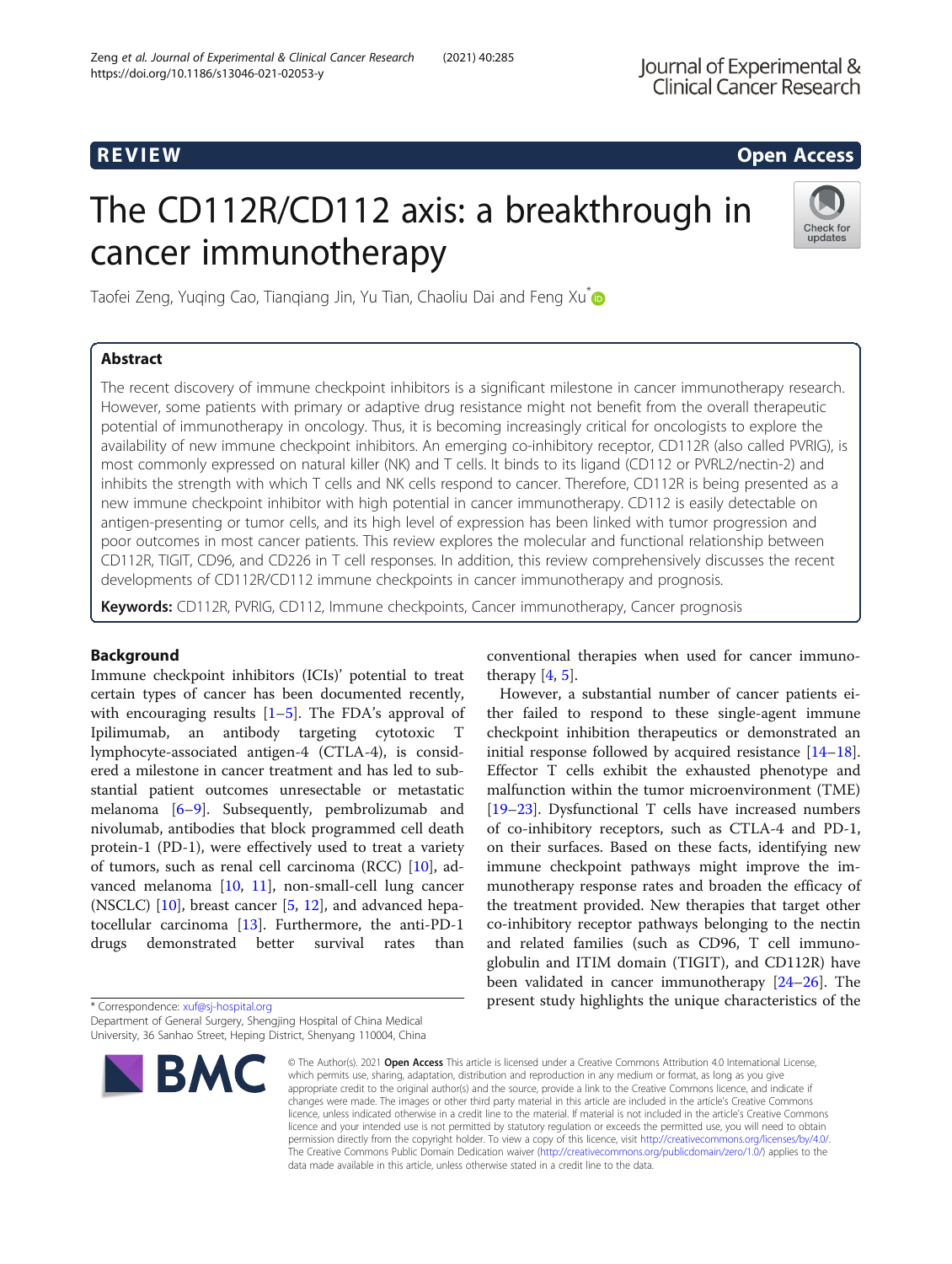# R EVI EW Open Access

# The CD112R/CD112 axis: a breakthrough in cancer immunotherapy



Taofei Zeng, Yuging Cao, Tiangiang Jin, Yu Tian, Chaoliu Dai and Feng Xu<sup>n</sup>

# Abstract

The recent discovery of immune checkpoint inhibitors is a significant milestone in cancer immunotherapy research. However, some patients with primary or adaptive drug resistance might not benefit from the overall therapeutic potential of immunotherapy in oncology. Thus, it is becoming increasingly critical for oncologists to explore the availability of new immune checkpoint inhibitors. An emerging co-inhibitory receptor, CD112R (also called PVRIG), is most commonly expressed on natural killer (NK) and T cells. It binds to its ligand (CD112 or PVRL2/nectin-2) and inhibits the strength with which T cells and NK cells respond to cancer. Therefore, CD112R is being presented as a new immune checkpoint inhibitor with high potential in cancer immunotherapy. CD112 is easily detectable on antigen-presenting or tumor cells, and its high level of expression has been linked with tumor progression and poor outcomes in most cancer patients. This review explores the molecular and functional relationship between CD112R, TIGIT, CD96, and CD226 in T cell responses. In addition, this review comprehensively discusses the recent developments of CD112R/CD112 immune checkpoints in cancer immunotherapy and prognosis.

Keywords: CD112R, PVRIG, CD112, Immune checkpoints, Cancer immunotherapy, Cancer prognosis

# Background

Immune checkpoint inhibitors (ICIs)' potential to treat certain types of cancer has been documented recently, with encouraging results  $[1–5]$  $[1–5]$  $[1–5]$  $[1–5]$  $[1–5]$ . The FDA's approval of Ipilimumab, an antibody targeting cytotoxic T lymphocyte-associated antigen-4 (CTLA-4), is considered a milestone in cancer treatment and has led to substantial patient outcomes unresectable or metastatic melanoma [\[6](#page-9-0)–[9](#page-9-0)]. Subsequently, pembrolizumab and nivolumab, antibodies that block programmed cell death protein-1 (PD-1), were effectively used to treat a variety of tumors, such as renal cell carcinoma (RCC) [[10](#page-9-0)], advanced melanoma [[10](#page-9-0), [11](#page-9-0)], non-small-cell lung cancer (NSCLC) [[10](#page-9-0)], breast cancer [[5,](#page-9-0) [12\]](#page-9-0), and advanced hepatocellular carcinoma [[13](#page-9-0)]. Furthermore, the anti-PD-1 drugs demonstrated better survival rates than

\* Correspondence: [xuf@sj-hospital.org](mailto:xuf@sj-hospital.org) Department of General Surgery, Shengjing Hospital of China Medical University, 36 Sanhao Street, Heping District, Shenyang 110004, China



conventional therapies when used for cancer immunotherapy  $[4, 5]$  $[4, 5]$  $[4, 5]$  $[4, 5]$ .

However, a substantial number of cancer patients either failed to respond to these single-agent immune checkpoint inhibition therapeutics or demonstrated an initial response followed by acquired resistance [[14](#page-9-0)–[18](#page-9-0)]. Effector T cells exhibit the exhausted phenotype and malfunction within the tumor microenvironment (TME) [[19](#page-9-0)–[23](#page-9-0)]. Dysfunctional T cells have increased numbers of co-inhibitory receptors, such as CTLA-4 and PD-1, on their surfaces. Based on these facts, identifying new immune checkpoint pathways might improve the immunotherapy response rates and broaden the efficacy of the treatment provided. New therapies that target other co-inhibitory receptor pathways belonging to the nectin and related families (such as CD96, T cell immunoglobulin and ITIM domain (TIGIT), and CD112R) have been validated in cancer immunotherapy [[24](#page-9-0)–[26](#page-9-0)]. The present study highlights the unique characteristics of the

© The Author(s), 2021 **Open Access** This article is licensed under a Creative Commons Attribution 4.0 International License, which permits use, sharing, adaptation, distribution and reproduction in any medium or format, as long as you give appropriate credit to the original author(s) and the source, provide a link to the Creative Commons licence, and indicate if changes were made. The images or other third party material in this article are included in the article's Creative Commons licence, unless indicated otherwise in a credit line to the material. If material is not included in the article's Creative Commons licence and your intended use is not permitted by statutory regulation or exceeds the permitted use, you will need to obtain permission directly from the copyright holder. To view a copy of this licence, visit [http://creativecommons.org/licenses/by/4.0/.](http://creativecommons.org/licenses/by/4.0/) The Creative Commons Public Domain Dedication waiver [\(http://creativecommons.org/publicdomain/zero/1.0/](http://creativecommons.org/publicdomain/zero/1.0/)) applies to the data made available in this article, unless otherwise stated in a credit line to the data.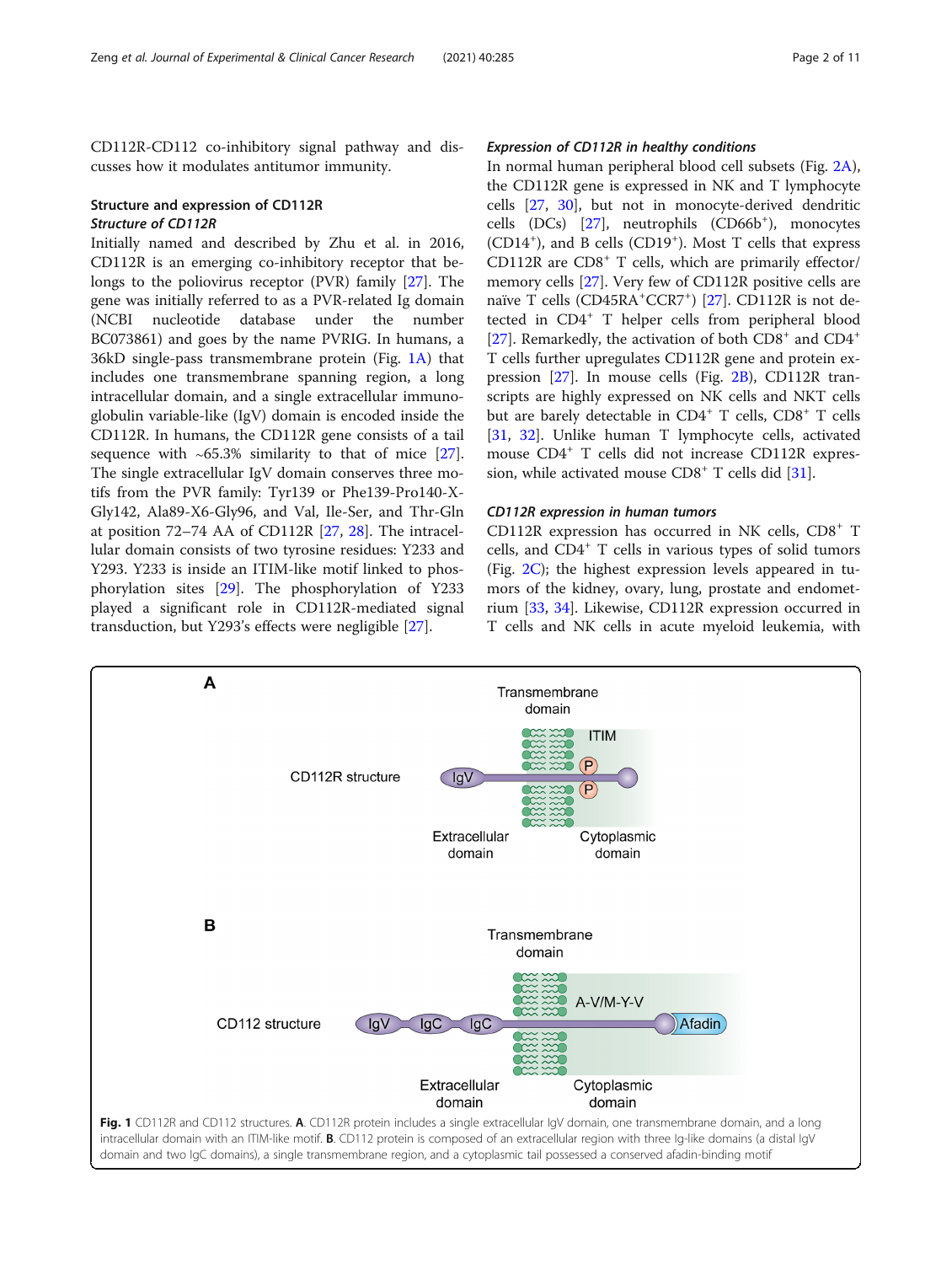<span id="page-1-0"></span>CD112R-CD112 co-inhibitory signal pathway and discusses how it modulates antitumor immunity.

### Structure and expression of CD112R Structure of CD112R

Initially named and described by Zhu et al. in 2016, CD112R is an emerging co-inhibitory receptor that belongs to the poliovirus receptor (PVR) family [\[27\]](#page-9-0). The gene was initially referred to as a PVR-related Ig domain (NCBI nucleotide database under the number BC073861) and goes by the name PVRIG. In humans, a 36kD single-pass transmembrane protein (Fig. 1A) that includes one transmembrane spanning region, a long intracellular domain, and a single extracellular immunoglobulin variable-like (IgV) domain is encoded inside the CD112R. In humans, the CD112R gene consists of a tail sequence with ∼65.3% similarity to that of mice [\[27](#page-9-0)]. The single extracellular IgV domain conserves three motifs from the PVR family: Tyr139 or Phe139-Pro140-X-Gly142, Ala89-X6-Gly96, and Val, Ile-Ser, and Thr-Gln at position 72–74 AA of CD112R [[27,](#page-9-0) [28](#page-9-0)]. The intracellular domain consists of two tyrosine residues: Y233 and Y293. Y233 is inside an ITIM-like motif linked to phosphorylation sites [[29](#page-9-0)]. The phosphorylation of Y233 played a significant role in CD112R-mediated signal transduction, but Y293's effects were negligible [[27](#page-9-0)].

#### Expression of CD112R in healthy conditions

In normal human peripheral blood cell subsets (Fig. [2A](#page-2-0)), the CD112R gene is expressed in NK and T lymphocyte cells [\[27](#page-9-0), [30\]](#page-9-0), but not in monocyte-derived dendritic cells (DCs) [\[27](#page-9-0)], neutrophils (CD66b<sup>+</sup>), monocytes (CD14<sup>+</sup>), and B cells (CD19<sup>+</sup>). Most T cells that express CD112R are CD8<sup>+</sup> T cells, which are primarily effector/ memory cells [\[27](#page-9-0)]. Very few of CD112R positive cells are naïve T cells (CD45RA<sup>+</sup>CCR7<sup>+</sup>) [\[27](#page-9-0)]. CD112R is not detected in CD4<sup>+</sup> T helper cells from peripheral blood [[27\]](#page-9-0). Remarkedly, the activation of both  $CD8<sup>+</sup>$  and  $CD4<sup>+</sup>$ T cells further upregulates CD112R gene and protein expression [[27\]](#page-9-0). In mouse cells (Fig. [2B](#page-2-0)), CD112R transcripts are highly expressed on NK cells and NKT cells but are barely detectable in CD4<sup>+</sup> T cells, CD8<sup>+</sup> T cells [[31,](#page-9-0) [32](#page-9-0)]. Unlike human T lymphocyte cells, activated mouse CD4<sup>+</sup> T cells did not increase CD112R expression, while activated mouse  $CDS^+$  T cells did [\[31](#page-9-0)].

#### CD112R expression in human tumors

CD112R expression has occurred in NK cells, CD8<sup>+</sup> T cells, and  $CD4^+$  T cells in various types of solid tumors (Fig. [2C](#page-2-0)); the highest expression levels appeared in tumors of the kidney, ovary, lung, prostate and endometrium [\[33](#page-9-0), [34](#page-9-0)]. Likewise, CD112R expression occurred in T cells and NK cells in acute myeloid leukemia, with

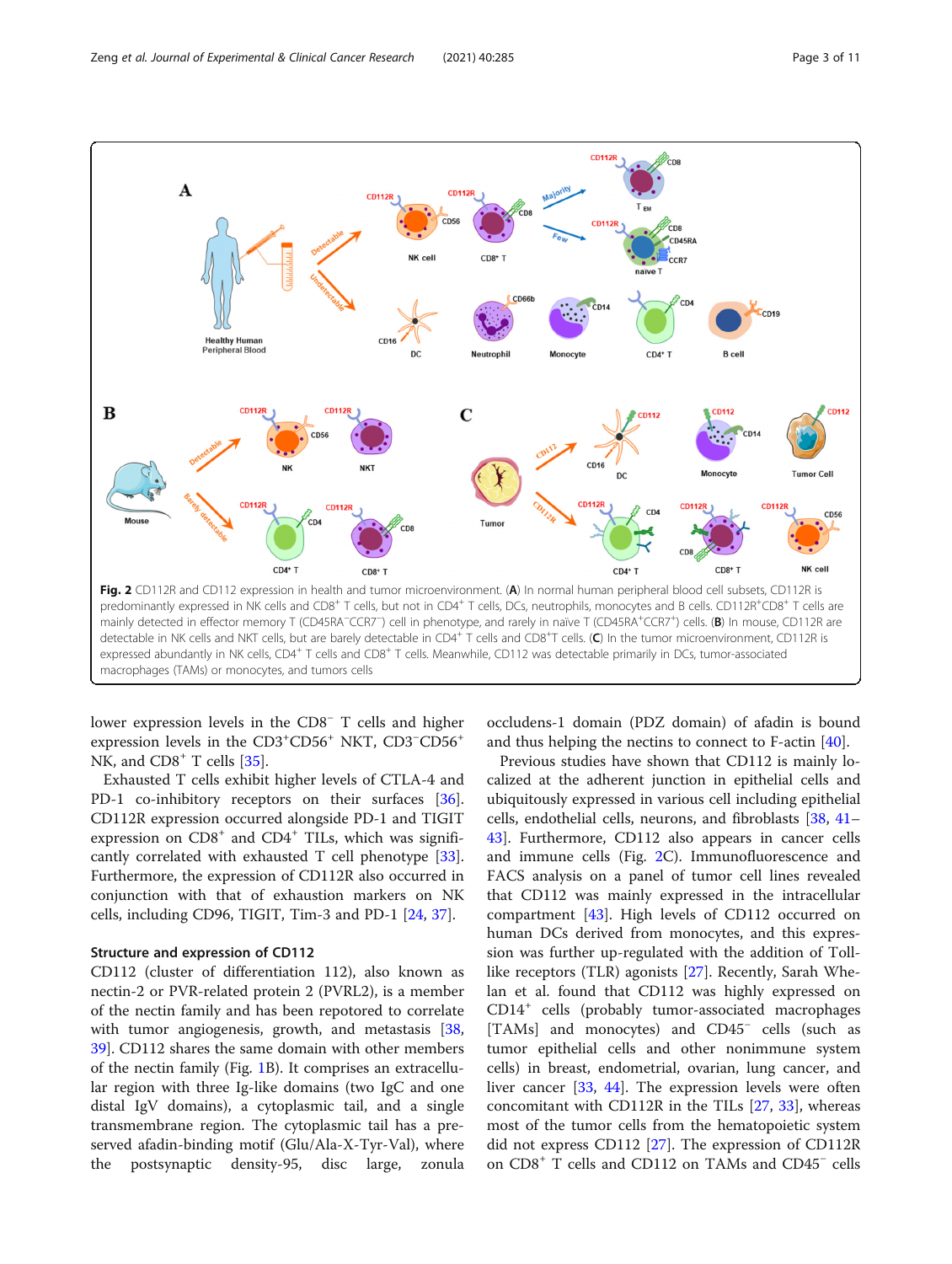<span id="page-2-0"></span>

lower expression levels in the CD8<sup>−</sup> T cells and higher expression levels in the CD3<sup>+</sup>CD56<sup>+</sup> NKT, CD3<sup>−</sup>CD56<sup>+</sup> NK, and  $CD8<sup>+</sup>$  T cells [[35\]](#page-9-0).

Exhausted T cells exhibit higher levels of CTLA-4 and PD-1 co-inhibitory receptors on their surfaces [\[36](#page-9-0)]. CD112R expression occurred alongside PD-1 and TIGIT expression on  $CDS<sup>+</sup>$  and  $CD4<sup>+</sup>$  TILs, which was significantly correlated with exhausted T cell phenotype [\[33](#page-9-0)]. Furthermore, the expression of CD112R also occurred in conjunction with that of exhaustion markers on NK cells, including CD96, TIGIT, Tim-3 and PD-1 [\[24](#page-9-0), [37\]](#page-9-0).

## Structure and expression of CD112

CD112 (cluster of differentiation 112), also known as nectin-2 or PVR-related protein 2 (PVRL2), is a member of the nectin family and has been repotored to correlate with tumor angiogenesis, growth, and metastasis [[38](#page-9-0), [39\]](#page-9-0). CD112 shares the same domain with other members of the nectin family (Fig. [1](#page-1-0)B). It comprises an extracellular region with three Ig-like domains (two IgC and one distal IgV domains), a cytoplasmic tail, and a single transmembrane region. The cytoplasmic tail has a preserved afadin-binding motif (Glu/Ala-X-Tyr-Val), where the postsynaptic density-95, disc large, zonula

occludens-1 domain (PDZ domain) of afadin is bound and thus helping the nectins to connect to F-actin [[40\]](#page-9-0).

Previous studies have shown that CD112 is mainly localized at the adherent junction in epithelial cells and ubiquitously expressed in various cell including epithelial cells, endothelial cells, neurons, and fibroblasts [\[38,](#page-9-0) [41](#page-10-0)– [43\]](#page-10-0). Furthermore, CD112 also appears in cancer cells and immune cells (Fig. 2C). Immunofluorescence and FACS analysis on a panel of tumor cell lines revealed that CD112 was mainly expressed in the intracellular compartment [\[43\]](#page-10-0). High levels of CD112 occurred on human DCs derived from monocytes, and this expression was further up-regulated with the addition of Tolllike receptors (TLR) agonists [[27](#page-9-0)]. Recently, Sarah Whelan et al. found that CD112 was highly expressed on CD14<sup>+</sup> cells (probably tumor-associated macrophages [TAMs] and monocytes) and CD45<sup>−</sup> cells (such as tumor epithelial cells and other nonimmune system cells) in breast, endometrial, ovarian, lung cancer, and liver cancer [[33](#page-9-0), [44](#page-10-0)]. The expression levels were often concomitant with CD112R in the TILs [[27,](#page-9-0) [33](#page-9-0)], whereas most of the tumor cells from the hematopoietic system did not express CD112 [\[27](#page-9-0)]. The expression of CD112R on CD8<sup>+</sup> T cells and CD112 on TAMs and CD45<sup>−</sup> cells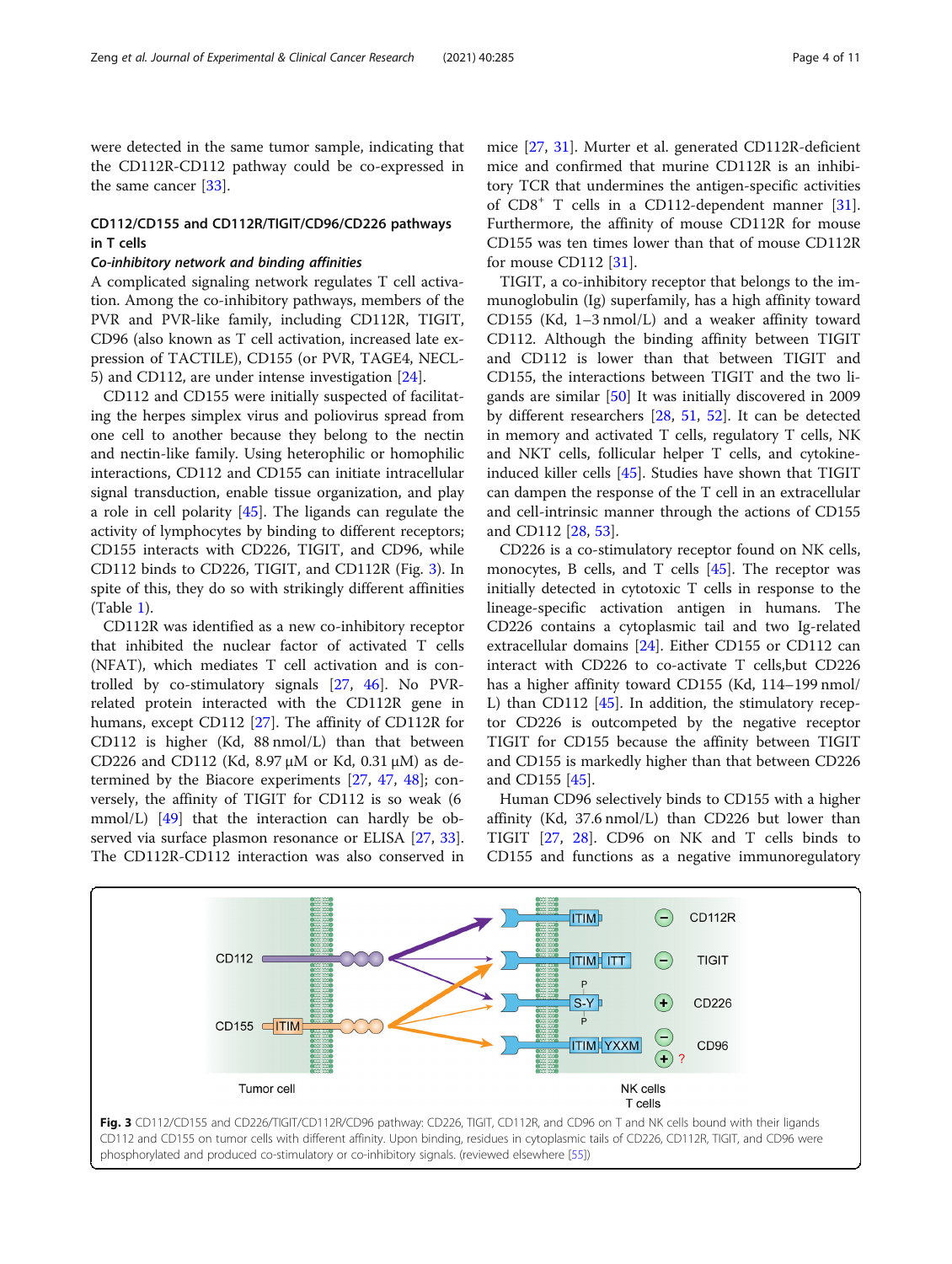were detected in the same tumor sample, indicating that the CD112R-CD112 pathway could be co-expressed in the same cancer [\[33\]](#page-9-0).

# CD112/CD155 and CD112R/TIGIT/CD96/CD226 pathways in T cells

#### Co-inhibitory network and binding affinities

A complicated signaling network regulates T cell activation. Among the co-inhibitory pathways, members of the PVR and PVR-like family, including CD112R, TIGIT, CD96 (also known as T cell activation, increased late expression of TACTILE), CD155 (or PVR, TAGE4, NECL-5) and CD112, are under intense investigation [[24](#page-9-0)].

CD112 and CD155 were initially suspected of facilitating the herpes simplex virus and poliovirus spread from one cell to another because they belong to the nectin and nectin-like family. Using heterophilic or homophilic interactions, CD112 and CD155 can initiate intracellular signal transduction, enable tissue organization, and play a role in cell polarity [[45\]](#page-10-0). The ligands can regulate the activity of lymphocytes by binding to different receptors; CD155 interacts with CD226, TIGIT, and CD96, while CD112 binds to CD226, TIGIT, and CD112R (Fig. 3). In spite of this, they do so with strikingly different affinities (Table [1\)](#page-4-0).

CD112R was identified as a new co-inhibitory receptor that inhibited the nuclear factor of activated T cells (NFAT), which mediates T cell activation and is controlled by co-stimulatory signals [\[27,](#page-9-0) [46\]](#page-10-0). No PVRrelated protein interacted with the CD112R gene in humans, except CD112 [[27](#page-9-0)]. The affinity of CD112R for CD112 is higher (Kd, 88 nmol/L) than that between CD226 and CD112 (Kd, 8.97 μM or Kd, 0.31 μM) as determined by the Biacore experiments [\[27](#page-9-0), [47](#page-10-0), [48\]](#page-10-0); conversely, the affinity of TIGIT for CD112 is so weak (6 mmol/L) [[49\]](#page-10-0) that the interaction can hardly be ob-served via surface plasmon resonance or ELISA [\[27,](#page-9-0) [33](#page-9-0)]. The CD112R-CD112 interaction was also conserved in

mice [\[27,](#page-9-0) [31](#page-9-0)]. Murter et al. generated CD112R-deficient mice and confirmed that murine CD112R is an inhibitory TCR that undermines the antigen-specific activities of CD8<sup>+</sup> T cells in a CD112-dependent manner [\[31](#page-9-0)]. Furthermore, the affinity of mouse CD112R for mouse CD155 was ten times lower than that of mouse CD112R for mouse CD112 [[31\]](#page-9-0).

TIGIT, a co-inhibitory receptor that belongs to the immunoglobulin (Ig) superfamily, has a high affinity toward CD155 (Kd, 1–3 nmol/L) and a weaker affinity toward CD112. Although the binding affinity between TIGIT and CD112 is lower than that between TIGIT and CD155, the interactions between TIGIT and the two ligands are similar [\[50\]](#page-10-0) It was initially discovered in 2009 by different researchers [\[28](#page-9-0), [51](#page-10-0), [52](#page-10-0)]. It can be detected in memory and activated T cells, regulatory T cells, NK and NKT cells, follicular helper T cells, and cytokineinduced killer cells [[45\]](#page-10-0). Studies have shown that TIGIT can dampen the response of the T cell in an extracellular and cell-intrinsic manner through the actions of CD155 and CD112 [\[28](#page-9-0), [53](#page-10-0)].

CD226 is a co-stimulatory receptor found on NK cells, monocytes, B cells, and T cells [\[45\]](#page-10-0). The receptor was initially detected in cytotoxic T cells in response to the lineage-specific activation antigen in humans. The CD226 contains a cytoplasmic tail and two Ig-related extracellular domains [\[24](#page-9-0)]. Either CD155 or CD112 can interact with CD226 to co-activate T cells,but CD226 has a higher affinity toward CD155 (Kd, 114–199 nmol/ L) than CD112 [[45\]](#page-10-0). In addition, the stimulatory receptor CD226 is outcompeted by the negative receptor TIGIT for CD155 because the affinity between TIGIT and CD155 is markedly higher than that between CD226 and CD155 [\[45](#page-10-0)].

Human CD96 selectively binds to CD155 with a higher affinity (Kd, 37.6 nmol/L) than CD226 but lower than TIGIT [[27](#page-9-0), [28](#page-9-0)]. CD96 on NK and T cells binds to CD155 and functions as a negative immunoregulatory

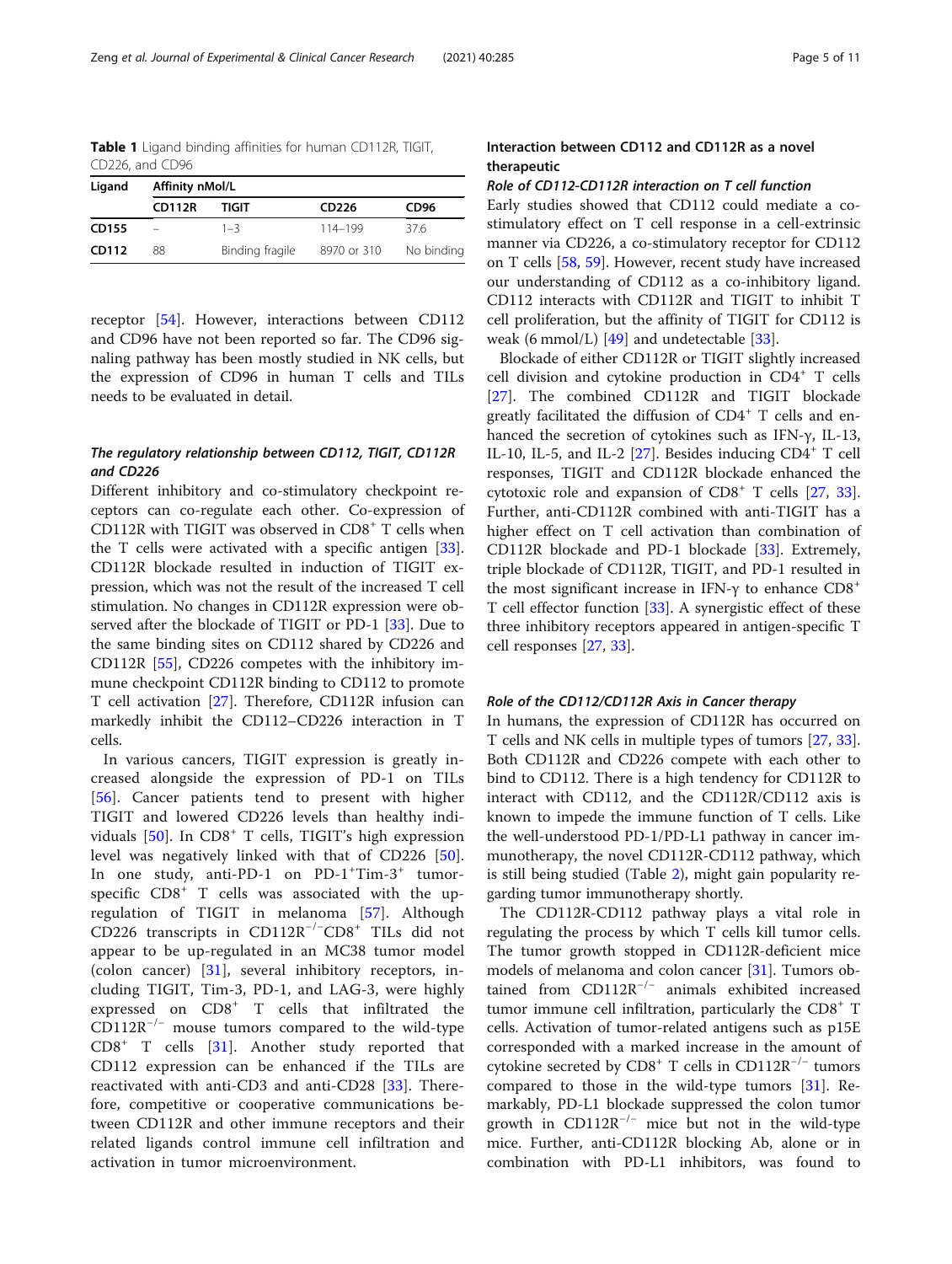<span id="page-4-0"></span>Table 1 Ligand binding affinities for human CD112R, TIGIT, CD226, and CD96

| Ligand      | Affinity nMol/L |                 |                   |                  |  |  |  |
|-------------|-----------------|-----------------|-------------------|------------------|--|--|--|
|             | <b>CD112R</b>   | TIGIT           | CD <sub>226</sub> | CD <sub>96</sub> |  |  |  |
| CD155       |                 | $1 - 3$         | 114-199           | 376              |  |  |  |
| CD112<br>88 |                 | Binding fragile | 8970 or 310       | No binding       |  |  |  |

receptor [\[54](#page-10-0)]. However, interactions between CD112 and CD96 have not been reported so far. The CD96 signaling pathway has been mostly studied in NK cells, but the expression of CD96 in human T cells and TILs needs to be evaluated in detail.

# The regulatory relationship between CD112, TIGIT, CD112R and CD226

Different inhibitory and co-stimulatory checkpoint receptors can co-regulate each other. Co-expression of CD112R with TIGIT was observed in  $CDS<sup>+</sup>$  T cells when the T cells were activated with a specific antigen [\[33](#page-9-0)]. CD112R blockade resulted in induction of TIGIT expression, which was not the result of the increased T cell stimulation. No changes in CD112R expression were observed after the blockade of TIGIT or PD-1 [[33\]](#page-9-0). Due to the same binding sites on CD112 shared by CD226 and CD112R [[55](#page-10-0)], CD226 competes with the inhibitory immune checkpoint CD112R binding to CD112 to promote T cell activation [\[27](#page-9-0)]. Therefore, CD112R infusion can markedly inhibit the CD112–CD226 interaction in T cells.

In various cancers, TIGIT expression is greatly increased alongside the expression of PD-1 on TILs [[56\]](#page-10-0). Cancer patients tend to present with higher TIGIT and lowered CD226 levels than healthy individuals  $[50]$  $[50]$ . In  $CD8<sup>+</sup>$  T cells, TIGIT's high expression level was negatively linked with that of CD226 [\[50](#page-10-0)]. In one study, anti-PD-1 on PD-1<sup>+</sup>Tim-3<sup>+</sup> tumorspecific CD8<sup>+</sup> T cells was associated with the upregulation of TIGIT in melanoma [\[57](#page-10-0)]. Although CD226 transcripts in CD112R−/<sup>−</sup> CD8<sup>+</sup> TILs did not appear to be up-regulated in an MC38 tumor model (colon cancer) [[31\]](#page-9-0), several inhibitory receptors, including TIGIT, Tim-3, PD-1, and LAG-3, were highly expressed on CD8<sup>+</sup> T cells that infiltrated the  $CD112R^{-/-}$  mouse tumors compared to the wild-type  $CDB^+$  T cells [[31\]](#page-9-0). Another study reported that CD112 expression can be enhanced if the TILs are reactivated with anti-CD3 and anti-CD28 [\[33](#page-9-0)]. Therefore, competitive or cooperative communications between CD112R and other immune receptors and their related ligands control immune cell infiltration and activation in tumor microenvironment.

# Interaction between CD112 and CD112R as a novel therapeutic

#### Role of CD112-CD112R interaction on T cell function

Early studies showed that CD112 could mediate a costimulatory effect on T cell response in a cell-extrinsic manner via CD226, a co-stimulatory receptor for CD112 on T cells [\[58](#page-10-0), [59\]](#page-10-0). However, recent study have increased our understanding of CD112 as a co-inhibitory ligand. CD112 interacts with CD112R and TIGIT to inhibit T cell proliferation, but the affinity of TIGIT for CD112 is weak (6 mmol/L) [[49](#page-10-0)] and undetectable [[33](#page-9-0)].

Blockade of either CD112R or TIGIT slightly increased cell division and cytokine production in CD4<sup>+</sup> T cells [[27\]](#page-9-0). The combined CD112R and TIGIT blockade greatly facilitated the diffusion of  $CD4^+$  T cells and enhanced the secretion of cytokines such as IFN-γ, IL-13, IL-10, IL-5, and IL-2  $[27]$  $[27]$  $[27]$ . Besides inducing CD4<sup>+</sup> T cell responses, TIGIT and CD112R blockade enhanced the cytotoxic role and expansion of  $CD8<sup>+</sup>$  T cells [\[27,](#page-9-0) [33](#page-9-0)]. Further, anti-CD112R combined with anti-TIGIT has a higher effect on T cell activation than combination of CD112R blockade and PD-1 blockade [\[33](#page-9-0)]. Extremely, triple blockade of CD112R, TIGIT, and PD-1 resulted in the most significant increase in IFN-γ to enhance  $CD8<sup>+</sup>$ T cell effector function [\[33](#page-9-0)]. A synergistic effect of these three inhibitory receptors appeared in antigen-specific T cell responses [\[27](#page-9-0), [33\]](#page-9-0).

#### Role of the CD112/CD112R Axis in Cancer therapy

In humans, the expression of CD112R has occurred on T cells and NK cells in multiple types of tumors [[27](#page-9-0), [33](#page-9-0)]. Both CD112R and CD226 compete with each other to bind to CD112. There is a high tendency for CD112R to interact with CD112, and the CD112R/CD112 axis is known to impede the immune function of T cells. Like the well-understood PD-1/PD-L1 pathway in cancer immunotherapy, the novel CD112R-CD112 pathway, which is still being studied (Table [2](#page-5-0)), might gain popularity regarding tumor immunotherapy shortly.

The CD112R-CD112 pathway plays a vital role in regulating the process by which T cells kill tumor cells. The tumor growth stopped in CD112R-deficient mice models of melanoma and colon cancer [[31\]](#page-9-0). Tumors obtained from  $CD112R^{-/-}$  animals exhibited increased tumor immune cell infiltration, particularly the CD8<sup>+</sup> T cells. Activation of tumor-related antigens such as p15E corresponded with a marked increase in the amount of cytokine secreted by  $CDS^+$  T cells in  $CD112R^{-/-}$  tumors compared to those in the wild-type tumors [\[31\]](#page-9-0). Remarkably, PD-L1 blockade suppressed the colon tumor growth in  $CD112R^{-/-}$  mice but not in the wild-type mice. Further, anti-CD112R blocking Ab, alone or in combination with PD-L1 inhibitors, was found to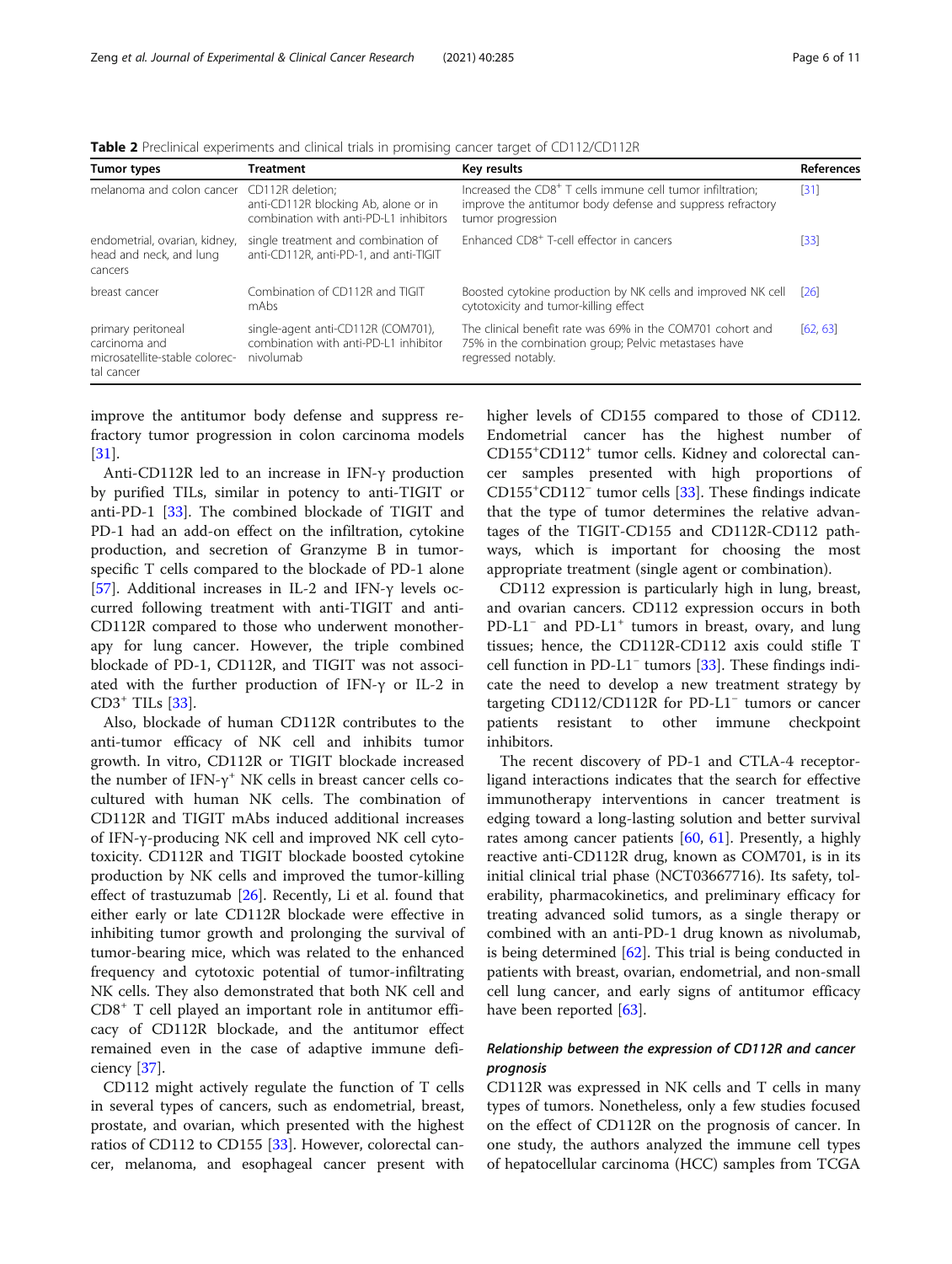| Tumor types                                                                                                                                          | <b>Treatment</b>                                                                         | Key results                                                                                                                                               | References         |
|------------------------------------------------------------------------------------------------------------------------------------------------------|------------------------------------------------------------------------------------------|-----------------------------------------------------------------------------------------------------------------------------------------------------------|--------------------|
| melanoma and colon cancer CD112R deletion:                                                                                                           | anti-CD112R blocking Ab, alone or in<br>combination with anti-PD-L1 inhibitors           | Increased the CD8 <sup>+</sup> T cells immune cell tumor infiltration;<br>improve the antitumor body defense and suppress refractory<br>tumor progression | $[31]$             |
| endometrial, ovarian, kidney,<br>single treatment and combination of<br>head and neck, and lung<br>anti-CD112R, anti-PD-1, and anti-TIGIT<br>cancers |                                                                                          | Enhanced CD8 <sup>+</sup> T-cell effector in cancers                                                                                                      | $[33]$             |
| breast cancer                                                                                                                                        | Combination of CD112R and TIGIT<br>mAbs                                                  | Boosted cytokine production by NK cells and improved NK cell<br>cytotoxicity and tumor-killing effect                                                     | $\lceil 26 \rceil$ |
| primary peritoneal<br>carcinoma and<br>microsatellite-stable colorec-<br>tal cancer                                                                  | single-agent anti-CD112R (COM701),<br>combination with anti-PD-L1 inhibitor<br>nivolumab | The clinical benefit rate was 69% in the COM701 cohort and<br>75% in the combination group; Pelvic metastases have<br>regressed notably.                  | [62, 63]           |

<span id="page-5-0"></span>Table 2 Preclinical experiments and clinical trials in promising cancer target of CD112/CD112R

improve the antitumor body defense and suppress refractory tumor progression in colon carcinoma models [[31\]](#page-9-0).

Anti-CD112R led to an increase in IFN-γ production by purified TILs, similar in potency to anti-TIGIT or anti-PD-1 [[33\]](#page-9-0). The combined blockade of TIGIT and PD-1 had an add-on effect on the infiltration, cytokine production, and secretion of Granzyme B in tumorspecific T cells compared to the blockade of PD-1 alone [[57\]](#page-10-0). Additional increases in IL-2 and IFN-γ levels occurred following treatment with anti-TIGIT and anti-CD112R compared to those who underwent monotherapy for lung cancer. However, the triple combined blockade of PD-1, CD112R, and TIGIT was not associated with the further production of IFN-γ or IL-2 in CD3<sup>+</sup> TILs [[33\]](#page-9-0).

Also, blockade of human CD112R contributes to the anti-tumor efficacy of NK cell and inhibits tumor growth. In vitro, CD112R or TIGIT blockade increased the number of IFN- $\gamma$ <sup>+</sup> NK cells in breast cancer cells cocultured with human NK cells. The combination of CD112R and TIGIT mAbs induced additional increases of IFN-γ-producing NK cell and improved NK cell cytotoxicity. CD112R and TIGIT blockade boosted cytokine production by NK cells and improved the tumor-killing effect of trastuzumab [[26\]](#page-9-0). Recently, Li et al. found that either early or late CD112R blockade were effective in inhibiting tumor growth and prolonging the survival of tumor-bearing mice, which was related to the enhanced frequency and cytotoxic potential of tumor-infiltrating NK cells. They also demonstrated that both NK cell and CD8<sup>+</sup> T cell played an important role in antitumor efficacy of CD112R blockade, and the antitumor effect remained even in the case of adaptive immune deficiency [\[37](#page-9-0)].

CD112 might actively regulate the function of T cells in several types of cancers, such as endometrial, breast, prostate, and ovarian, which presented with the highest ratios of CD112 to CD155 [\[33](#page-9-0)]. However, colorectal cancer, melanoma, and esophageal cancer present with

higher levels of CD155 compared to those of CD112. Endometrial cancer has the highest number of CD155<sup>+</sup>CD112<sup>+</sup> tumor cells. Kidney and colorectal cancer samples presented with high proportions of CD155+ CD112<sup>−</sup> tumor cells [[33](#page-9-0)]. These findings indicate that the type of tumor determines the relative advantages of the TIGIT-CD155 and CD112R-CD112 pathways, which is important for choosing the most appropriate treatment (single agent or combination).

CD112 expression is particularly high in lung, breast, and ovarian cancers. CD112 expression occurs in both PD-L1<sup>-</sup> and PD-L1<sup>+</sup> tumors in breast, ovary, and lung tissues; hence, the CD112R-CD112 axis could stifle T cell function in PD-L1<sup>−</sup> tumors [[33](#page-9-0)]. These findings indicate the need to develop a new treatment strategy by targeting CD112/CD112R for PD-L1<sup>−</sup> tumors or cancer patients resistant to other immune checkpoint inhibitors.

The recent discovery of PD-1 and CTLA-4 receptorligand interactions indicates that the search for effective immunotherapy interventions in cancer treatment is edging toward a long-lasting solution and better survival rates among cancer patients [\[60](#page-10-0), [61\]](#page-10-0). Presently, a highly reactive anti-CD112R drug, known as COM701, is in its initial clinical trial phase (NCT03667716). Its safety, tolerability, pharmacokinetics, and preliminary efficacy for treating advanced solid tumors, as a single therapy or combined with an anti-PD-1 drug known as nivolumab, is being determined  $[62]$  $[62]$ . This trial is being conducted in patients with breast, ovarian, endometrial, and non-small cell lung cancer, and early signs of antitumor efficacy have been reported [[63](#page-10-0)].

# Relationship between the expression of CD112R and cancer prognosis

CD112R was expressed in NK cells and T cells in many types of tumors. Nonetheless, only a few studies focused on the effect of CD112R on the prognosis of cancer. In one study, the authors analyzed the immune cell types of hepatocellular carcinoma (HCC) samples from TCGA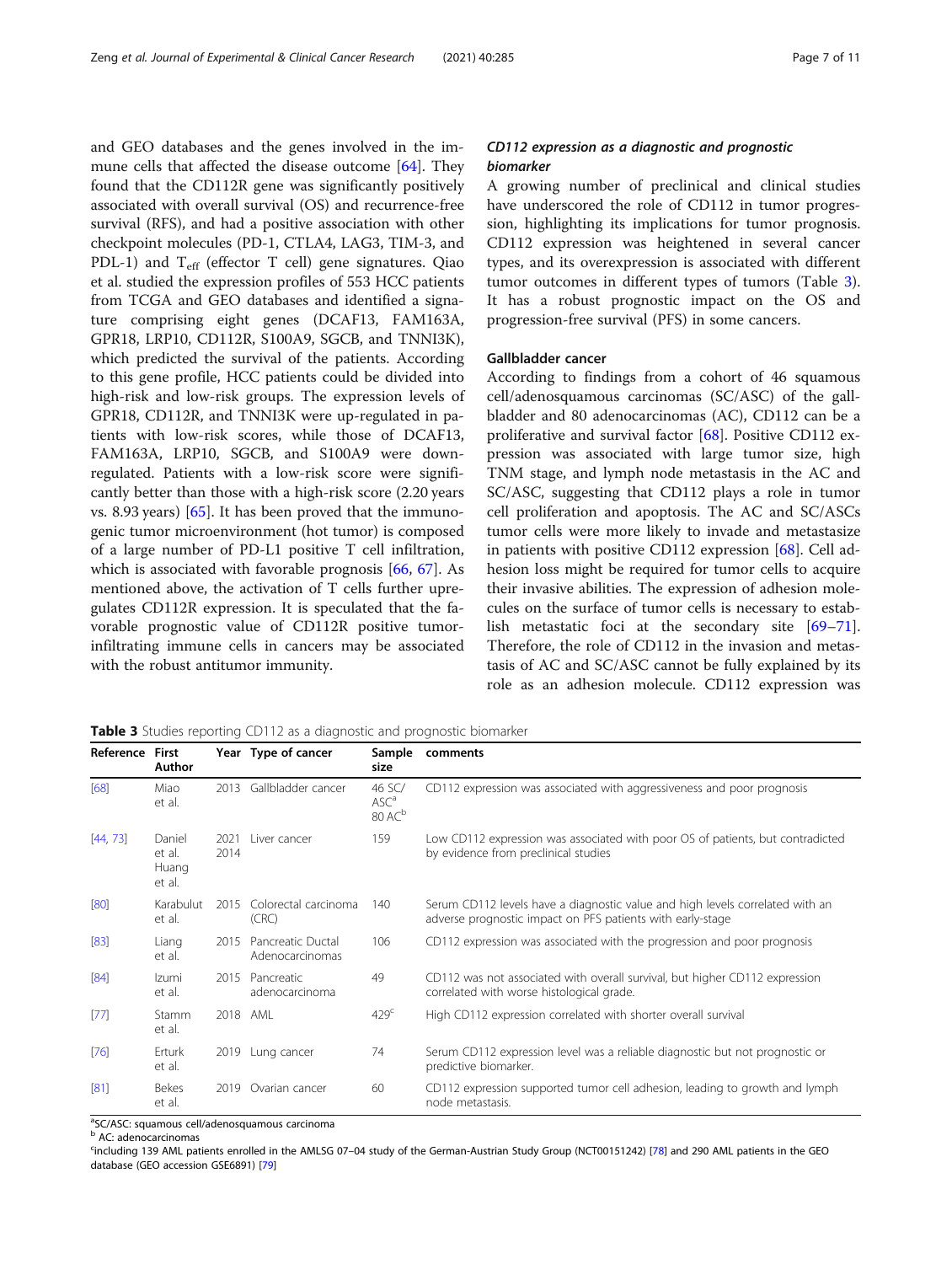and GEO databases and the genes involved in the immune cells that affected the disease outcome [\[64\]](#page-10-0). They found that the CD112R gene was significantly positively associated with overall survival (OS) and recurrence-free survival (RFS), and had a positive association with other checkpoint molecules (PD-1, CTLA4, LAG3, TIM-3, and PDL-1) and  $T_{\text{eff}}$  (effector T cell) gene signatures. Qiao et al. studied the expression profiles of 553 HCC patients from TCGA and GEO databases and identified a signature comprising eight genes (DCAF13, FAM163A, GPR18, LRP10, CD112R, S100A9, SGCB, and TNNI3K), which predicted the survival of the patients. According to this gene profile, HCC patients could be divided into high-risk and low-risk groups. The expression levels of GPR18, CD112R, and TNNI3K were up-regulated in patients with low-risk scores, while those of DCAF13, FAM163A, LRP10, SGCB, and S100A9 were downregulated. Patients with a low-risk score were significantly better than those with a high-risk score (2.20 years vs. 8.93 years) [\[65\]](#page-10-0). It has been proved that the immunogenic tumor microenvironment (hot tumor) is composed of a large number of PD-L1 positive T cell infiltration, which is associated with favorable prognosis [\[66,](#page-10-0) [67](#page-10-0)]. As mentioned above, the activation of T cells further upregulates CD112R expression. It is speculated that the favorable prognostic value of CD112R positive tumorinfiltrating immune cells in cancers may be associated with the robust antitumor immunity.

### CD112 expression as a diagnostic and prognostic biomarker

A growing number of preclinical and clinical studies have underscored the role of CD112 in tumor progression, highlighting its implications for tumor prognosis. CD112 expression was heightened in several cancer types, and its overexpression is associated with different tumor outcomes in different types of tumors (Table 3). It has a robust prognostic impact on the OS and progression-free survival (PFS) in some cancers.

#### Gallbladder cancer

According to findings from a cohort of 46 squamous cell/adenosquamous carcinomas (SC/ASC) of the gallbladder and 80 adenocarcinomas (AC), CD112 can be a proliferative and survival factor [\[68](#page-10-0)]. Positive CD112 expression was associated with large tumor size, high TNM stage, and lymph node metastasis in the AC and SC/ASC, suggesting that CD112 plays a role in tumor cell proliferation and apoptosis. The AC and SC/ASCs tumor cells were more likely to invade and metastasize in patients with positive CD112 expression [[68\]](#page-10-0). Cell adhesion loss might be required for tumor cells to acquire their invasive abilities. The expression of adhesion molecules on the surface of tumor cells is necessary to establish metastatic foci at the secondary site [[69](#page-10-0)–[71](#page-10-0)]. Therefore, the role of CD112 in the invasion and metastasis of AC and SC/ASC cannot be fully explained by its role as an adhesion molecule. CD112 expression was

Table 3 Studies reporting CD112 as a diagnostic and prognostic biomarker

| Reference First | Author                              |              | Year Type of cancer                  | Sample<br>size                                   | comments                                                                                                                                    |
|-----------------|-------------------------------------|--------------|--------------------------------------|--------------------------------------------------|---------------------------------------------------------------------------------------------------------------------------------------------|
| [68]            | Miao<br>et al.                      | 2013         | Gallbladder cancer                   | 46 SC/<br>ASC <sup>a</sup><br>80 AC <sup>b</sup> | CD112 expression was associated with aggressiveness and poor prognosis                                                                      |
| [44, 73]        | Daniel<br>et al.<br>Huang<br>et al. | 2021<br>2014 | Liver cancer                         | 159                                              | Low CD112 expression was associated with poor OS of patients, but contradicted<br>by evidence from preclinical studies                      |
| [80]            | Karabulut<br>et al.                 | 2015         | Colorectal carcinoma<br>(CRC)        | 140                                              | Serum CD112 levels have a diagnostic value and high levels correlated with an<br>adverse prognostic impact on PFS patients with early-stage |
| [83]            | Liang<br>et al.                     | 2015         | Pancreatic Ductal<br>Adenocarcinomas | 106                                              | CD112 expression was associated with the progression and poor prognosis                                                                     |
| [84]            | Izumi<br>et al.                     | 2015         | Pancreatic<br>adenocarcinoma         | 49                                               | CD112 was not associated with overall survival, but higher CD112 expression<br>correlated with worse histological grade.                    |
| [77]            | Stamm<br>et al.                     | 2018         | AML                                  | 429 <sup>c</sup>                                 | High CD112 expression correlated with shorter overall survival                                                                              |
| [76]            | Erturk<br>et al.                    |              | 2019 Lung cancer                     | 74                                               | Serum CD112 expression level was a reliable diagnostic but not prognostic or<br>predictive biomarker.                                       |
| [81]            | <b>Bekes</b><br>et al.              | 2019         | Ovarian cancer                       | 60                                               | CD112 expression supported tumor cell adhesion, leading to growth and lymph<br>node metastasis.                                             |

<sup>a</sup>SC/ASC: squamous cell/adenosquamous carcinoma

<sup>b</sup> AC: adenocarcinomas

c including 139 AML patients enrolled in the AMLSG 07–04 study of the German-Austrian Study Group (NCT00151242) [\[78\]](#page-10-0) and 290 AML patients in the GEO database (GEO accession GSE6891) [[79](#page-10-0)]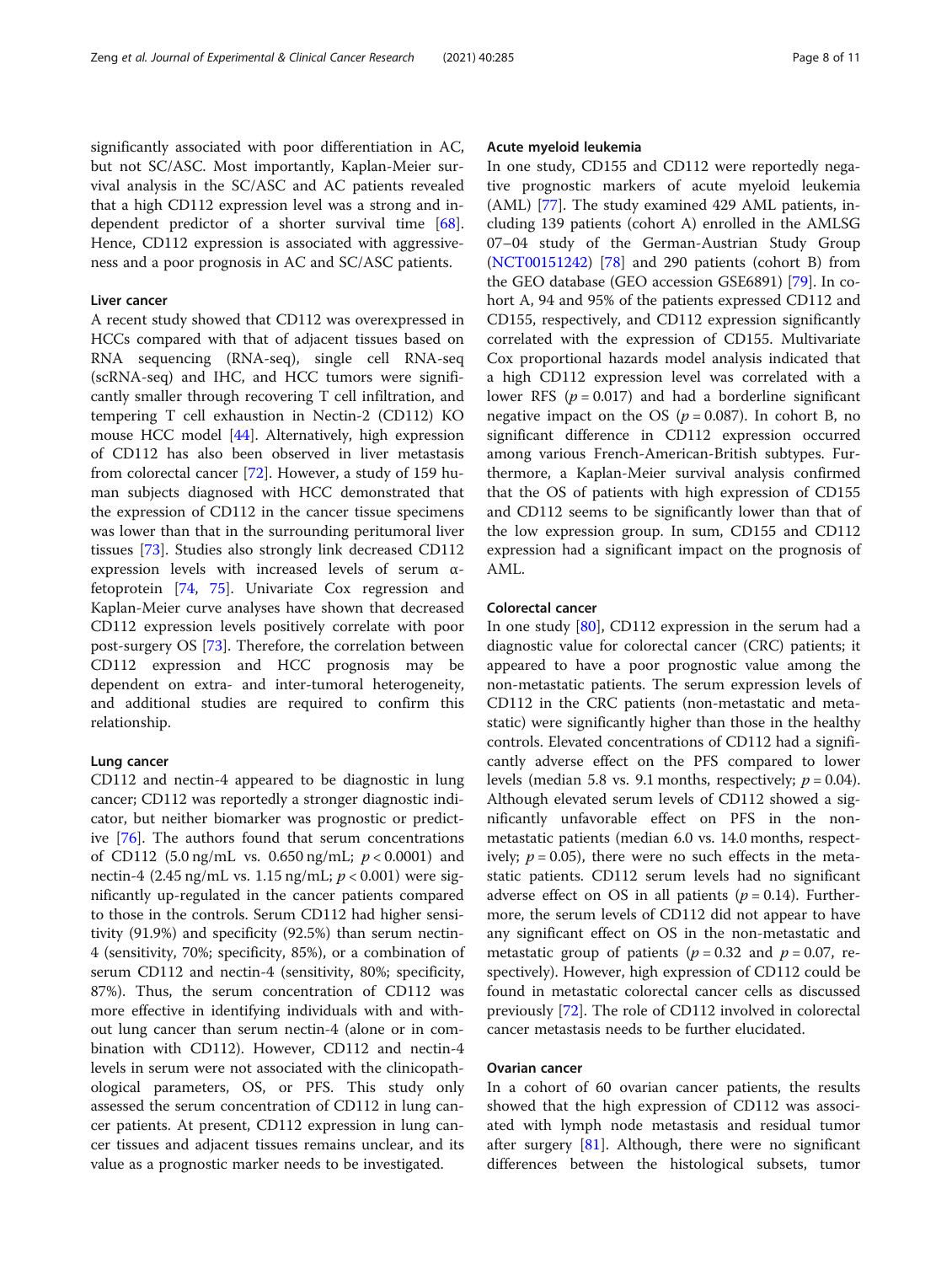significantly associated with poor differentiation in AC, but not SC/ASC. Most importantly, Kaplan-Meier survival analysis in the SC/ASC and AC patients revealed that a high CD112 expression level was a strong and independent predictor of a shorter survival time [\[68](#page-10-0)]. Hence, CD112 expression is associated with aggressiveness and a poor prognosis in AC and SC/ASC patients.

#### Liver cancer

A recent study showed that CD112 was overexpressed in HCCs compared with that of adjacent tissues based on RNA sequencing (RNA-seq), single cell RNA-seq (scRNA-seq) and IHC, and HCC tumors were significantly smaller through recovering T cell infiltration, and tempering T cell exhaustion in Nectin-2 (CD112) KO mouse HCC model [\[44](#page-10-0)]. Alternatively, high expression of CD112 has also been observed in liver metastasis from colorectal cancer [\[72](#page-10-0)]. However, a study of 159 human subjects diagnosed with HCC demonstrated that the expression of CD112 in the cancer tissue specimens was lower than that in the surrounding peritumoral liver tissues [\[73](#page-10-0)]. Studies also strongly link decreased CD112 expression levels with increased levels of serum αfetoprotein [\[74,](#page-10-0) [75](#page-10-0)]. Univariate Cox regression and Kaplan-Meier curve analyses have shown that decreased CD112 expression levels positively correlate with poor post-surgery OS [\[73](#page-10-0)]. Therefore, the correlation between CD112 expression and HCC prognosis may be dependent on extra- and inter-tumoral heterogeneity, and additional studies are required to confirm this relationship.

#### Lung cancer

CD112 and nectin-4 appeared to be diagnostic in lung cancer; CD112 was reportedly a stronger diagnostic indicator, but neither biomarker was prognostic or predictive [[76\]](#page-10-0). The authors found that serum concentrations of CD112 (5.0 ng/mL vs. 0.650 ng/mL;  $p < 0.0001$ ) and nectin-4 (2.45 ng/mL vs. 1.15 ng/mL;  $p < 0.001$ ) were significantly up-regulated in the cancer patients compared to those in the controls. Serum CD112 had higher sensitivity (91.9%) and specificity (92.5%) than serum nectin-4 (sensitivity, 70%; specificity, 85%), or a combination of serum CD112 and nectin-4 (sensitivity, 80%; specificity, 87%). Thus, the serum concentration of CD112 was more effective in identifying individuals with and without lung cancer than serum nectin-4 (alone or in combination with CD112). However, CD112 and nectin-4 levels in serum were not associated with the clinicopathological parameters, OS, or PFS. This study only assessed the serum concentration of CD112 in lung cancer patients. At present, CD112 expression in lung cancer tissues and adjacent tissues remains unclear, and its value as a prognostic marker needs to be investigated.

#### Acute myeloid leukemia

In one study, CD155 and CD112 were reportedly negative prognostic markers of acute myeloid leukemia (AML) [\[77](#page-10-0)]. The study examined 429 AML patients, including 139 patients (cohort A) enrolled in the AMLSG 07–04 study of the German-Austrian Study Group ([NCT00151242\)](https://clinicaltrials.gov/ct2/show/NCT00151242) [[78](#page-10-0)] and 290 patients (cohort B) from the GEO database (GEO accession GSE6891) [[79\]](#page-10-0). In cohort A, 94 and 95% of the patients expressed CD112 and CD155, respectively, and CD112 expression significantly correlated with the expression of CD155. Multivariate Cox proportional hazards model analysis indicated that a high CD112 expression level was correlated with a lower RFS ( $p = 0.017$ ) and had a borderline significant negative impact on the OS ( $p = 0.087$ ). In cohort B, no significant difference in CD112 expression occurred among various French-American-British subtypes. Furthermore, a Kaplan-Meier survival analysis confirmed that the OS of patients with high expression of CD155 and CD112 seems to be significantly lower than that of the low expression group. In sum, CD155 and CD112 expression had a significant impact on the prognosis of AML.

#### Colorectal cancer

In one study [\[80](#page-10-0)], CD112 expression in the serum had a diagnostic value for colorectal cancer (CRC) patients; it appeared to have a poor prognostic value among the non-metastatic patients. The serum expression levels of CD112 in the CRC patients (non-metastatic and metastatic) were significantly higher than those in the healthy controls. Elevated concentrations of CD112 had a significantly adverse effect on the PFS compared to lower levels (median 5.8 vs. 9.1 months, respectively;  $p = 0.04$ ). Although elevated serum levels of CD112 showed a significantly unfavorable effect on PFS in the nonmetastatic patients (median 6.0 vs. 14.0 months, respectively;  $p = 0.05$ ), there were no such effects in the metastatic patients. CD112 serum levels had no significant adverse effect on OS in all patients ( $p = 0.14$ ). Furthermore, the serum levels of CD112 did not appear to have any significant effect on OS in the non-metastatic and metastatic group of patients ( $p = 0.32$  and  $p = 0.07$ , respectively). However, high expression of CD112 could be found in metastatic colorectal cancer cells as discussed previously [\[72](#page-10-0)]. The role of CD112 involved in colorectal cancer metastasis needs to be further elucidated.

#### Ovarian cancer

In a cohort of 60 ovarian cancer patients, the results showed that the high expression of CD112 was associated with lymph node metastasis and residual tumor after surgery  $[81]$  $[81]$ . Although, there were no significant differences between the histological subsets, tumor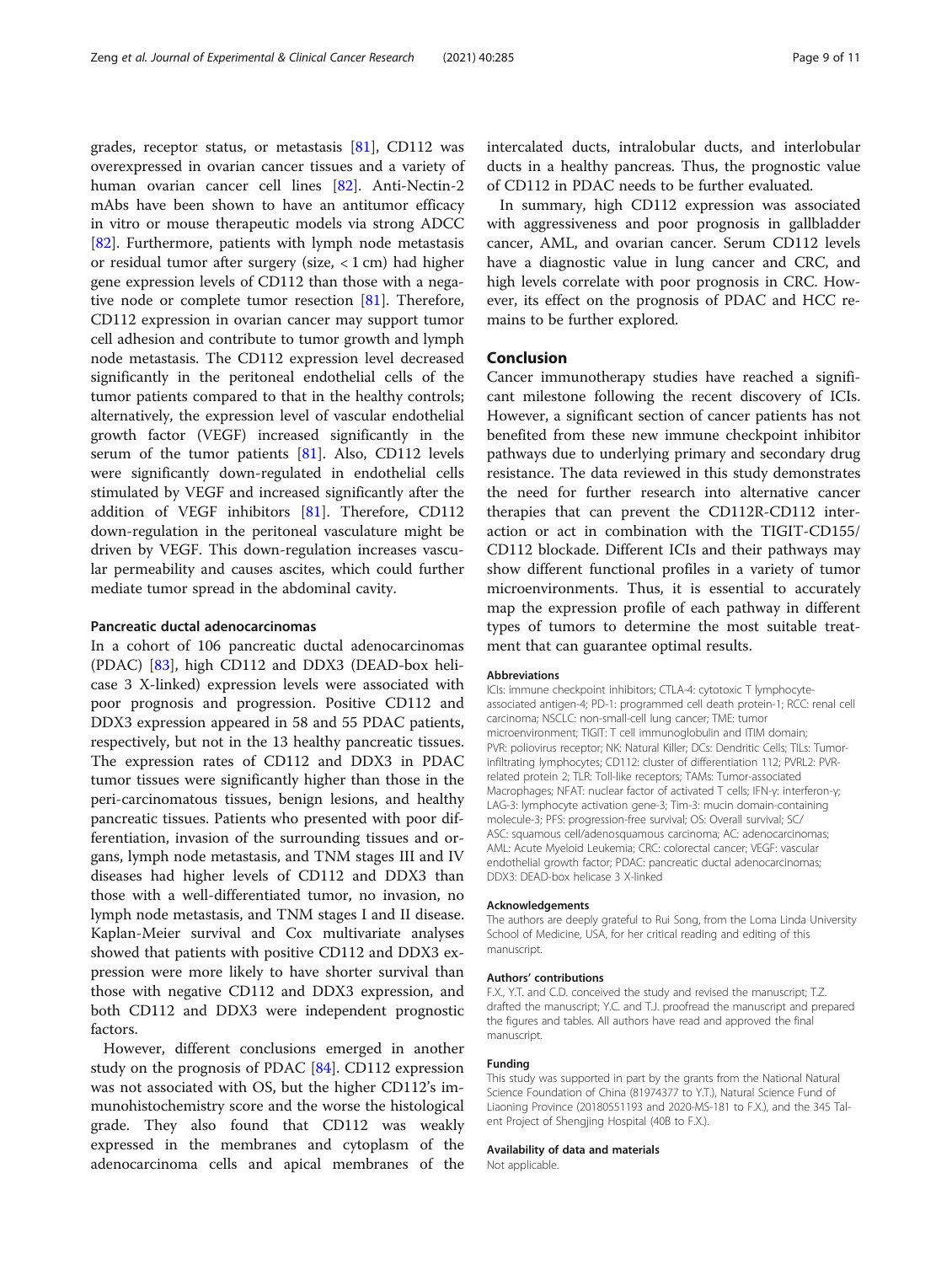grades, receptor status, or metastasis [\[81](#page-10-0)], CD112 was overexpressed in ovarian cancer tissues and a variety of human ovarian cancer cell lines [\[82\]](#page-10-0). Anti-Nectin-2 mAbs have been shown to have an antitumor efficacy in vitro or mouse therapeutic models via strong ADCC [[82\]](#page-10-0). Furthermore, patients with lymph node metastasis or residual tumor after surgery (size, < 1 cm) had higher gene expression levels of CD112 than those with a negative node or complete tumor resection [[81](#page-10-0)]. Therefore, CD112 expression in ovarian cancer may support tumor cell adhesion and contribute to tumor growth and lymph node metastasis. The CD112 expression level decreased significantly in the peritoneal endothelial cells of the tumor patients compared to that in the healthy controls; alternatively, the expression level of vascular endothelial growth factor (VEGF) increased significantly in the serum of the tumor patients [[81\]](#page-10-0). Also, CD112 levels were significantly down-regulated in endothelial cells stimulated by VEGF and increased significantly after the addition of VEGF inhibitors [\[81](#page-10-0)]. Therefore, CD112 down-regulation in the peritoneal vasculature might be driven by VEGF. This down-regulation increases vascular permeability and causes ascites, which could further mediate tumor spread in the abdominal cavity.

#### Pancreatic ductal adenocarcinomas

In a cohort of 106 pancreatic ductal adenocarcinomas (PDAC) [[83](#page-10-0)], high CD112 and DDX3 (DEAD-box helicase 3 X-linked) expression levels were associated with poor prognosis and progression. Positive CD112 and DDX3 expression appeared in 58 and 55 PDAC patients, respectively, but not in the 13 healthy pancreatic tissues. The expression rates of CD112 and DDX3 in PDAC tumor tissues were significantly higher than those in the peri-carcinomatous tissues, benign lesions, and healthy pancreatic tissues. Patients who presented with poor differentiation, invasion of the surrounding tissues and organs, lymph node metastasis, and TNM stages III and IV diseases had higher levels of CD112 and DDX3 than those with a well-differentiated tumor, no invasion, no lymph node metastasis, and TNM stages I and II disease. Kaplan-Meier survival and Cox multivariate analyses showed that patients with positive CD112 and DDX3 expression were more likely to have shorter survival than those with negative CD112 and DDX3 expression, and both CD112 and DDX3 were independent prognostic factors.

However, different conclusions emerged in another study on the prognosis of PDAC [[84](#page-10-0)]. CD112 expression was not associated with OS, but the higher CD112's immunohistochemistry score and the worse the histological grade. They also found that CD112 was weakly expressed in the membranes and cytoplasm of the adenocarcinoma cells and apical membranes of the

intercalated ducts, intralobular ducts, and interlobular ducts in a healthy pancreas. Thus, the prognostic value of CD112 in PDAC needs to be further evaluated.

In summary, high CD112 expression was associated with aggressiveness and poor prognosis in gallbladder cancer, AML, and ovarian cancer. Serum CD112 levels have a diagnostic value in lung cancer and CRC, and high levels correlate with poor prognosis in CRC. However, its effect on the prognosis of PDAC and HCC remains to be further explored.

#### Conclusion

Cancer immunotherapy studies have reached a significant milestone following the recent discovery of ICIs. However, a significant section of cancer patients has not benefited from these new immune checkpoint inhibitor pathways due to underlying primary and secondary drug resistance. The data reviewed in this study demonstrates the need for further research into alternative cancer therapies that can prevent the CD112R-CD112 interaction or act in combination with the TIGIT-CD155/ CD112 blockade. Different ICIs and their pathways may show different functional profiles in a variety of tumor microenvironments. Thus, it is essential to accurately map the expression profile of each pathway in different types of tumors to determine the most suitable treatment that can guarantee optimal results.

#### Abbreviations

ICIs: immune checkpoint inhibitors; CTLA-4: cytotoxic T lymphocyteassociated antigen-4; PD-1: programmed cell death protein-1; RCC: renal cell carcinoma; NSCLC: non-small-cell lung cancer; TME: tumor microenvironment; TIGIT: T cell immunoglobulin and ITIM domain; PVR: poliovirus receptor; NK: Natural Killer; DCs: Dendritic Cells; TILs: Tumorinfiltrating lymphocytes; CD112: cluster of differentiation 112; PVRL2: PVRrelated protein 2; TLR: Toll-like receptors; TAMs: Tumor-associated Macrophages; NFAT: nuclear factor of activated T cells; IFN-γ: interferon-γ; LAG-3: lymphocyte activation gene-3; Tim-3: mucin domain-containing molecule-3; PFS: progression-free survival; OS: Overall survival; SC/ ASC: squamous cell/adenosquamous carcinoma; AC: adenocarcinomas; AML: Acute Myeloid Leukemia; CRC: colorectal cancer; VEGF: vascular endothelial growth factor; PDAC: pancreatic ductal adenocarcinomas; DDX3: DEAD-box helicase 3 X-linked

#### Acknowledgements

The authors are deeply grateful to Rui Song, from the Loma Linda University School of Medicine, USA, for her critical reading and editing of this manuscript.

#### Authors' contributions

F.X., Y.T. and C.D. conceived the study and revised the manuscript; T.Z. drafted the manuscript; Y.C. and T.J. proofread the manuscript and prepared the figures and tables. All authors have read and approved the final manuscript.

#### Funding

This study was supported in part by the grants from the National Natural Science Foundation of China (81974377 to Y.T.), Natural Science Fund of Liaoning Province (20180551193 and 2020-MS-181 to F.X.), and the 345 Talent Project of Shengjing Hospital (40B to F.X.).

#### Availability of data and materials

Not applicable.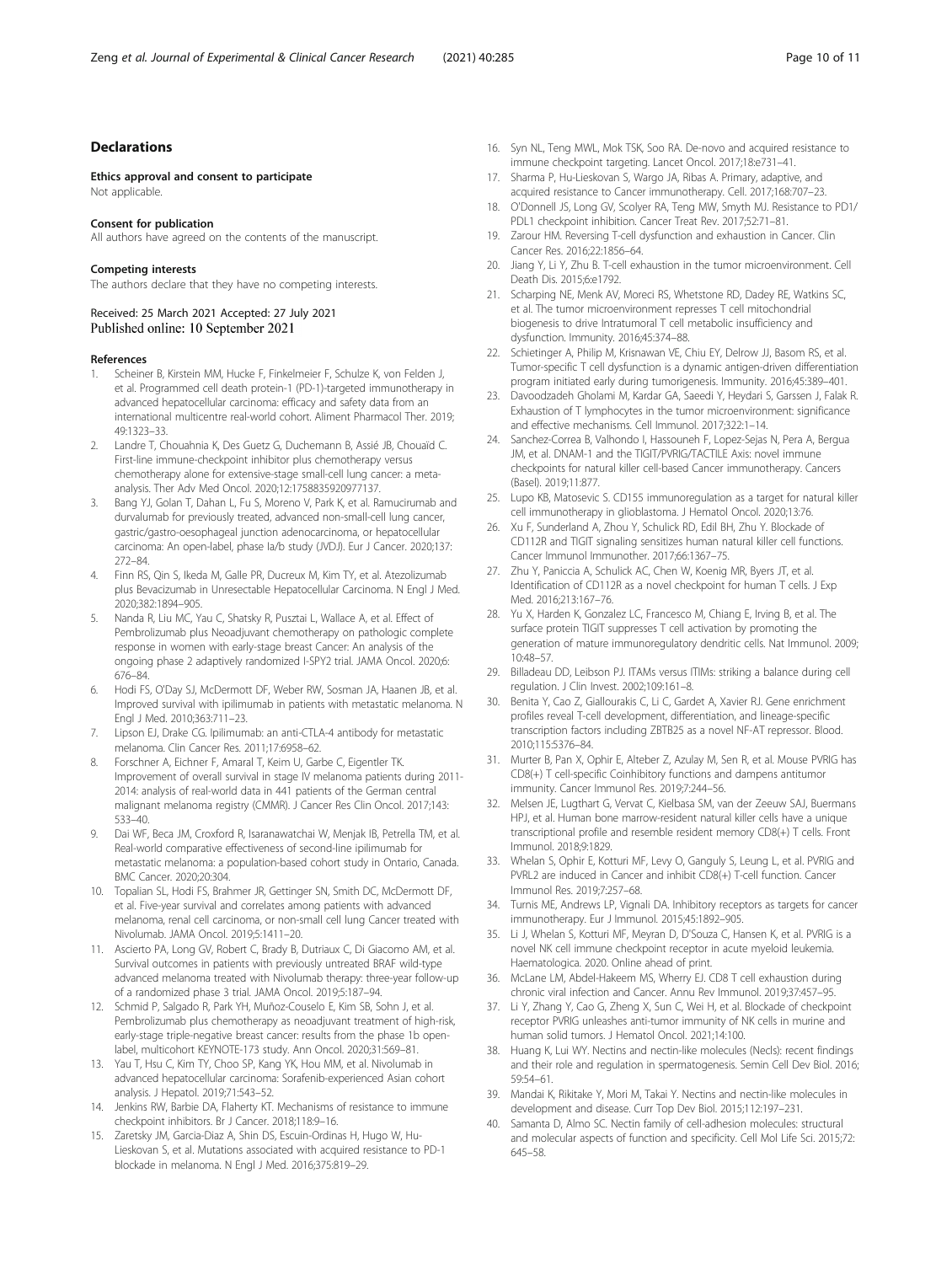#### <span id="page-9-0"></span>Declarations

Ethics approval and consent to participate Not applicable.

#### Consent for publication

All authors have agreed on the contents of the manuscript.

#### Competing interests

The authors declare that they have no competing interests.

#### Received: 25 March 2021 Accepted: 27 July 2021 Published online: 10 September 2021

#### References

- 1. Scheiner B, Kirstein MM, Hucke F, Finkelmeier F, Schulze K, von Felden J, et al. Programmed cell death protein-1 (PD-1)-targeted immunotherapy in advanced hepatocellular carcinoma: efficacy and safety data from an international multicentre real-world cohort. Aliment Pharmacol Ther. 2019; 49:1323–33.
- 2. Landre T, Chouahnia K, Des Guetz G, Duchemann B, Assié JB, Chouaïd C. First-line immune-checkpoint inhibitor plus chemotherapy versus chemotherapy alone for extensive-stage small-cell lung cancer: a metaanalysis. Ther Adv Med Oncol. 2020;12:1758835920977137.
- 3. Bang YJ, Golan T, Dahan L, Fu S, Moreno V, Park K, et al. Ramucirumab and durvalumab for previously treated, advanced non-small-cell lung cancer, gastric/gastro-oesophageal junction adenocarcinoma, or hepatocellular carcinoma: An open-label, phase Ia/b study (JVDJ). Eur J Cancer. 2020;137: 272–84.
- 4. Finn RS, Qin S, Ikeda M, Galle PR, Ducreux M, Kim TY, et al. Atezolizumab plus Bevacizumab in Unresectable Hepatocellular Carcinoma. N Engl J Med. 2020;382:1894–905.
- 5. Nanda R, Liu MC, Yau C, Shatsky R, Pusztai L, Wallace A, et al. Effect of Pembrolizumab plus Neoadjuvant chemotherapy on pathologic complete response in women with early-stage breast Cancer: An analysis of the ongoing phase 2 adaptively randomized I-SPY2 trial. JAMA Oncol. 2020;6: 676–84.
- 6. Hodi FS, O'Day SJ, McDermott DF, Weber RW, Sosman JA, Haanen JB, et al. Improved survival with ipilimumab in patients with metastatic melanoma. N Engl J Med. 2010;363:711–23.
- 7. Lipson EJ, Drake CG. Ipilimumab: an anti-CTLA-4 antibody for metastatic melanoma. Clin Cancer Res. 2011;17:6958–62.
- 8. Forschner A, Eichner F, Amaral T, Keim U, Garbe C, Eigentler TK. Improvement of overall survival in stage IV melanoma patients during 2011- 2014: analysis of real-world data in 441 patients of the German central malignant melanoma registry (CMMR). J Cancer Res Clin Oncol. 2017;143: 533–40.
- Dai WF, Beca JM, Croxford R, Isaranawatchai W, Menjak IB, Petrella TM, et al. Real-world comparative effectiveness of second-line ipilimumab for metastatic melanoma: a population-based cohort study in Ontario, Canada. BMC Cancer. 2020;20:304.
- 10. Topalian SL, Hodi FS, Brahmer JR, Gettinger SN, Smith DC, McDermott DF, et al. Five-year survival and correlates among patients with advanced melanoma, renal cell carcinoma, or non-small cell lung Cancer treated with Nivolumab. JAMA Oncol. 2019;5:1411–20.
- 11. Ascierto PA, Long GV, Robert C, Brady B, Dutriaux C, Di Giacomo AM, et al. Survival outcomes in patients with previously untreated BRAF wild-type advanced melanoma treated with Nivolumab therapy: three-year follow-up of a randomized phase 3 trial. JAMA Oncol. 2019;5:187–94.
- 12. Schmid P, Salgado R, Park YH, Muñoz-Couselo E, Kim SB, Sohn J, et al. Pembrolizumab plus chemotherapy as neoadjuvant treatment of high-risk, early-stage triple-negative breast cancer: results from the phase 1b openlabel, multicohort KEYNOTE-173 study. Ann Oncol. 2020;31:569–81.
- 13. Yau T, Hsu C, Kim TY, Choo SP, Kang YK, Hou MM, et al. Nivolumab in advanced hepatocellular carcinoma: Sorafenib-experienced Asian cohort analysis. J Hepatol. 2019;71:543–52.
- 14. Jenkins RW, Barbie DA, Flaherty KT. Mechanisms of resistance to immune checkpoint inhibitors. Br J Cancer. 2018;118:9–16.
- 15. Zaretsky JM, Garcia-Diaz A, Shin DS, Escuin-Ordinas H, Hugo W, Hu-Lieskovan S, et al. Mutations associated with acquired resistance to PD-1 blockade in melanoma. N Engl J Med. 2016;375:819–29.
- 16. Syn NL, Teng MWL, Mok TSK, Soo RA. De-novo and acquired resistance to immune checkpoint targeting. Lancet Oncol. 2017;18:e731–41.
- 17. Sharma P, Hu-Lieskovan S, Wargo JA, Ribas A. Primary, adaptive, and acquired resistance to Cancer immunotherapy. Cell. 2017;168:707–23.
- 18. O'Donnell JS, Long GV, Scolyer RA, Teng MW, Smyth MJ. Resistance to PD1/ PDL1 checkpoint inhibition. Cancer Treat Rev. 2017;52:71–81.
- 19. Zarour HM. Reversing T-cell dysfunction and exhaustion in Cancer. Clin Cancer Res. 2016;22:1856–64.
- 20. Jiang Y, Li Y, Zhu B. T-cell exhaustion in the tumor microenvironment. Cell Death Dis. 2015;6:e1792.
- 21. Scharping NE, Menk AV, Moreci RS, Whetstone RD, Dadey RE, Watkins SC, et al. The tumor microenvironment represses T cell mitochondrial biogenesis to drive Intratumoral T cell metabolic insufficiency and dysfunction. Immunity. 2016;45:374–88.
- 22. Schietinger A, Philip M, Krisnawan VE, Chiu EY, Delrow JJ, Basom RS, et al. Tumor-specific T cell dysfunction is a dynamic antigen-driven differentiation program initiated early during tumorigenesis. Immunity. 2016;45:389–401.
- 23. Davoodzadeh Gholami M, Kardar GA, Saeedi Y, Heydari S, Garssen J, Falak R. Exhaustion of T lymphocytes in the tumor microenvironment: significance and effective mechanisms. Cell Immunol. 2017;322:1–14.
- 24. Sanchez-Correa B, Valhondo I, Hassouneh F, Lopez-Sejas N, Pera A, Bergua JM, et al. DNAM-1 and the TIGIT/PVRIG/TACTILE Axis: novel immune checkpoints for natural killer cell-based Cancer immunotherapy. Cancers (Basel). 2019;11:877.
- 25. Lupo KB, Matosevic S. CD155 immunoregulation as a target for natural killer cell immunotherapy in glioblastoma. J Hematol Oncol. 2020;13:76.
- 26. Xu F, Sunderland A, Zhou Y, Schulick RD, Edil BH, Zhu Y. Blockade of CD112R and TIGIT signaling sensitizes human natural killer cell functions. Cancer Immunol Immunother. 2017;66:1367–75.
- 27. Zhu Y, Paniccia A, Schulick AC, Chen W, Koenig MR, Byers JT, et al. Identification of CD112R as a novel checkpoint for human T cells. J Exp Med. 2016;213:167–76.
- 28. Yu X, Harden K, Gonzalez LC, Francesco M, Chiang E, Irving B, et al. The surface protein TIGIT suppresses T cell activation by promoting the generation of mature immunoregulatory dendritic cells. Nat Immunol. 2009; 10:48–57.
- 29. Billadeau DD, Leibson PJ. ITAMs versus ITIMs: striking a balance during cell regulation. J Clin Invest. 2002;109:161–8.
- 30. Benita Y, Cao Z, Giallourakis C, Li C, Gardet A, Xavier RJ. Gene enrichment profiles reveal T-cell development, differentiation, and lineage-specific transcription factors including ZBTB25 as a novel NF-AT repressor. Blood. 2010;115:5376–84.
- 31. Murter B, Pan X, Ophir E, Alteber Z, Azulay M, Sen R, et al. Mouse PVRIG has CD8(+) T cell-specific Coinhibitory functions and dampens antitumor immunity. Cancer Immunol Res. 2019;7:244–56.
- 32. Melsen JE, Lugthart G, Vervat C, Kielbasa SM, van der Zeeuw SAJ, Buermans HPJ, et al. Human bone marrow-resident natural killer cells have a unique transcriptional profile and resemble resident memory CD8(+) T cells. Front Immunol. 2018;9:1829.
- 33. Whelan S, Ophir E, Kotturi MF, Levy O, Ganguly S, Leung L, et al. PVRIG and PVRL2 are induced in Cancer and inhibit CD8(+) T-cell function. Cancer Immunol Res. 2019;7:257–68.
- 34. Turnis ME, Andrews LP, Vignali DA. Inhibitory receptors as targets for cancer immunotherapy. Eur J Immunol. 2015;45:1892–905.
- 35. Li J, Whelan S, Kotturi MF, Meyran D, D'Souza C, Hansen K, et al. PVRIG is a novel NK cell immune checkpoint receptor in acute myeloid leukemia. Haematologica. 2020. Online ahead of print.
- 36. McLane LM, Abdel-Hakeem MS, Wherry EJ. CD8 T cell exhaustion during chronic viral infection and Cancer. Annu Rev Immunol. 2019;37:457–95.
- 37. Li Y, Zhang Y, Cao G, Zheng X, Sun C, Wei H, et al. Blockade of checkpoint receptor PVRIG unleashes anti-tumor immunity of NK cells in murine and human solid tumors. J Hematol Oncol. 2021;14:100.
- 38. Huang K, Lui WY. Nectins and nectin-like molecules (Necls): recent findings and their role and regulation in spermatogenesis. Semin Cell Dev Biol. 2016; 59:54–61.
- 39. Mandai K, Rikitake Y, Mori M, Takai Y. Nectins and nectin-like molecules in development and disease. Curr Top Dev Biol. 2015;112:197–231.
- 40. Samanta D, Almo SC. Nectin family of cell-adhesion molecules: structural and molecular aspects of function and specificity. Cell Mol Life Sci. 2015;72: 645–58.